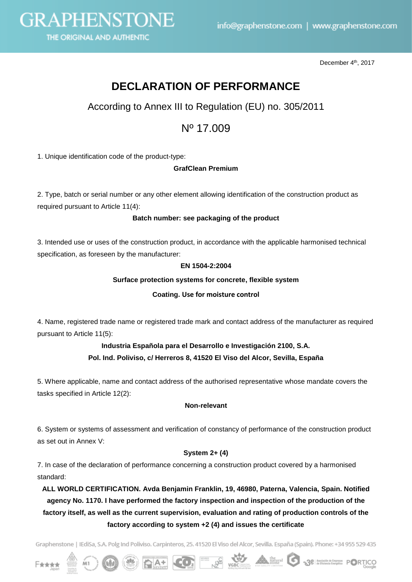

December 4<sup>th</sup>, 2017

# **DECLARATION OF PERFORMANCE**

According to Annex III to Regulation (EU) no. 305/2011

## Nº 17.009

1. Unique identification code of the product-type:

#### **GrafClean Premium**

2. Type, batch or serial number or any other element allowing identification of the construction product as required pursuant to Article 11(4):

#### **Batch number: see packaging of the product**

3. Intended use or uses of the construction product, in accordance with the applicable harmonised technical specification, as foreseen by the manufacturer:

#### **EN 1504-2:2004**

#### **Surface protection systems for concrete, flexible system**

#### **Coating. Use for moisture control**

4. Name, registered trade name or registered trade mark and contact address of the manufacturer as required pursuant to Article 11(5):

### **Industria Española para el Desarrollo e Investigación 2100, S.A. Pol. Ind. Poliviso, c/ Herreros 8, 41520 El Viso del Alcor, Sevilla, España**

5. Where applicable, name and contact address of the authorised representative whose mandate covers the tasks specified in Article 12(2):

#### **Non-relevant**

6. System or systems of assessment and verification of constancy of performance of the construction product as set out in Annex V:

#### **System 2+ (4)**

7. In case of the declaration of performance concerning a construction product covered by a harmonised standard:

**ALL WORLD CERTIFICATION. Avda Benjamin Franklin, 19, 46980, Paterna, Valencia, Spain. Notified agency No. 1170. I have performed the factory inspection and inspection of the production of the factory itself, as well as the current supervision, evaluation and rating of production controls of the factory according to system +2 (4) and issues the certificate**

Graphenstone | IEdiSa, S.A. Polg Ind Poliviso. Carpinteros, 25. 41520 El Viso del Alcor, Sevilla. España (Spain). Phone: +34 955 529 435